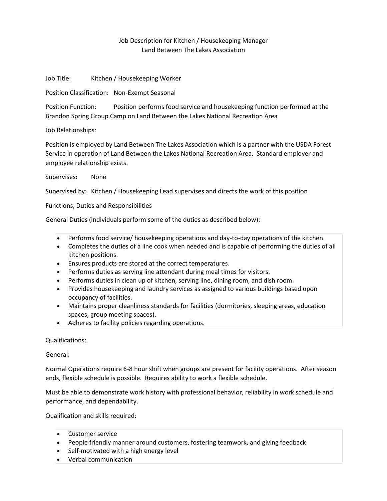## Job Description for Kitchen / Housekeeping Manager Land Between The Lakes Association

Job Title: Kitchen / Housekeeping Worker

Position Classification: Non-Exempt Seasonal

Position Function: Position performs food service and housekeeping function performed at the Brandon Spring Group Camp on Land Between the Lakes National Recreation Area

Job Relationships:

Position is employed by Land Between The Lakes Association which is a partner with the USDA Forest Service in operation of Land Between the Lakes National Recreation Area. Standard employer and employee relationship exists.

Supervises: None

Supervised by: Kitchen / Housekeeping Lead supervises and directs the work of this position

Functions, Duties and Responsibilities

General Duties (individuals perform some of the duties as described below):

- Performs food service/ housekeeping operations and day-to-day operations of the kitchen.
- Completes the duties of a line cook when needed and is capable of performing the duties of all kitchen positions.
- Ensures products are stored at the correct temperatures.
- Performs duties as serving line attendant during meal times for visitors.
- Performs duties in clean up of kitchen, serving line, dining room, and dish room.
- Provides housekeeping and laundry services as assigned to various buildings based upon occupancy of facilities.
- Maintains proper cleanliness standards for facilities (dormitories, sleeping areas, education spaces, group meeting spaces).
- Adheres to facility policies regarding operations.

Qualifications:

General:

Normal Operations require 6-8 hour shift when groups are present for facility operations. After season ends, flexible schedule is possible. Requires ability to work a flexible schedule.

Must be able to demonstrate work history with professional behavior, reliability in work schedule and performance, and dependability.

Qualification and skills required:

- Customer service
- People friendly manner around customers, fostering teamwork, and giving feedback
- Self-motivated with a high energy level
- Verbal communication